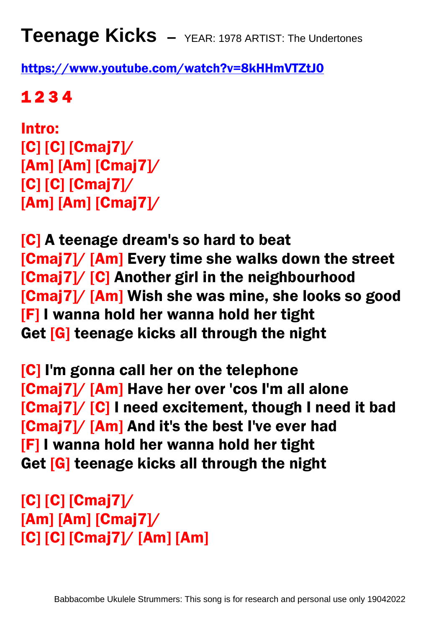**Teenage Kicks –** YEAR: 1978 ARTIST: The Undertones

<https://www.youtube.com/watch?v=8kHHmVTZtJ0>

1 2 3 4

Intro: [C] [C] [Cmaj7]/ [Am] [Am] [Cmaj7]/  $[C]$   $[C]$   $[C$ maj $7$  $]/$ [Am] [Am] [Cmaj7]/

[C] A teenage dream's so hard to beat [Cmaj7]/ [Am] Every time she walks down the street [Cmaj7]/ [C] Another girl in the neighbourhood [Cmaj7]/ [Am] Wish she was mine, she looks so good [F] I wanna hold her wanna hold her tight Get [G] teenage kicks all through the night

[C] I'm gonna call her on the telephone [Cmaj7]/ [Am] Have her over 'cos I'm all alone [Cmaj7]/ [C] I need excitement, though I need it bad [Cmaj7]/ [Am] And it's the best I've ever had [F] I wanna hold her wanna hold her tight Get [G] teenage kicks all through the night

[C] [C] [Cmaj7]/ [Am] [Am] [Cmaj7]/ [C] [C] [Cmaj7]/ [Am] [Am]